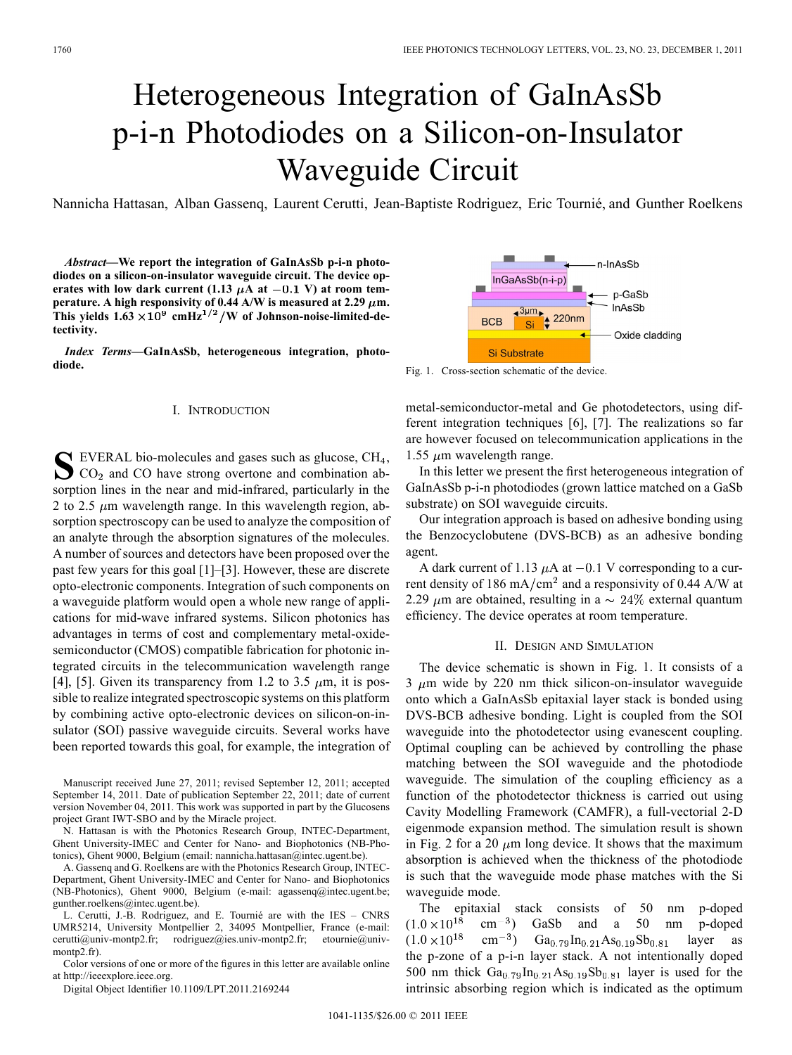# Heterogeneous Integration of GaInAsSb p-i-n Photodiodes on a Silicon-on-Insulator Waveguide Circuit

Nannicha Hattasan, Alban Gassenq, Laurent Cerutti, Jean-Baptiste Rodriguez, Eric Tournié, and Gunther Roelkens

*Abstract—***We report the integration of GaInAsSb p-i-n photodiodes on a silicon-on-insulator waveguide circuit. The device op**erates with low dark current (1.13  $\mu$ A at  $-0.1$  V) at room tem**perature.** A high responsivity of 0.44 A/W is measured at 2.29  $\mu$ m. This yields  $1.63 \times 10^9$  cmHz<sup>1/2</sup>/W of Johnson-noise-limited-de**tectivity.**

*Index Terms—***GaInAsSb, heterogeneous integration, photodiode.**

#### I. INTRODUCTION

**S** EVERAL bio-molecules and gases such as glucose, CH ,  $\sum$  CO<sub>2</sub> and CO have strong overtone and combination absorption lines in the near and mid-infrared, particularly in the 2 to 2.5  $\mu$ m wavelength range. In this wavelength region, absorption spectroscopy can be used to analyze the composition of an analyte through the absorption signatures of the molecules. A number of sources and detectors have been proposed over the past few years for this goal [1]–[3]. However, these are discrete opto-electronic components. Integration of such components on a waveguide platform would open a whole new range of applications for mid-wave infrared systems. Silicon photonics has advantages in terms of cost and complementary metal-oxidesemiconductor (CMOS) compatible fabrication for photonic integrated circuits in the telecommunication wavelength range [4], [5]. Given its transparency from 1.2 to 3.5  $\mu$ m, it is possible to realize integrated spectroscopic systems on this platform by combining active opto-electronic devices on silicon-on-insulator (SOI) passive waveguide circuits. Several works have been reported towards this goal, for example, the integration of

Manuscript received June 27, 2011; revised September 12, 2011; accepted September 14, 2011. Date of publication September 22, 2011; date of current version November 04, 2011. This work was supported in part by the Glucosens project Grant IWT-SBO and by the Miracle project.

N. Hattasan is with the Photonics Research Group, INTEC-Department, Ghent University-IMEC and Center for Nano- and Biophotonics (NB-Photonics), Ghent 9000, Belgium (email: nannicha.hattasan@intec.ugent.be).

A. Gassenq and G. Roelkens are with the Photonics Research Group, INTEC-Department, Ghent University-IMEC and Center for Nano- and Biophotonics (NB-Photonics), Ghent 9000, Belgium (e-mail: agassenq@intec.ugent.be; gunther.roelkens@intec.ugent.be).

L. Cerutti, J.-B. Rodriguez, and E. Tournié are with the IES – CNRS UMR5214, University Montpellier 2, 34095 Montpellier, France (e-mail: cerutti@univ-montp2.fr; rodriguez@ies.univ-montp2.fr; etournie@univmontp<sub>2</sub>.fr).

Color versions of one or more of the figures in this letter are available online at http://ieeexplore.ieee.org.

Digital Object Identifier 10.1109/LPT.2011.2169244



Fig. 1. Cross-section schematic of the device.

metal-semiconductor-metal and Ge photodetectors, using different integration techniques [6], [7]. The realizations so far are however focused on telecommunication applications in the 1.55  $\mu$ m wavelength range.

In this letter we present the first heterogeneous integration of GaInAsSb p-i-n photodiodes (grown lattice matched on a GaSb substrate) on SOI waveguide circuits.

Our integration approach is based on adhesive bonding using the Benzocyclobutene (DVS-BCB) as an adhesive bonding agent.

A dark current of 1.13  $\mu$ A at  $-0.1$  V corresponding to a current density of 186 mA/cm<sup>2</sup> and a responsivity of 0.44 A/W at 2.29  $\mu$ m are obtained, resulting in a  $\sim$  24% external quantum efficiency. The device operates at room temperature.

## II. DESIGN AND SIMULATION

The device schematic is shown in Fig. 1. It consists of a  $3 \mu m$  wide by 220 nm thick silicon-on-insulator waveguide onto which a GaInAsSb epitaxial layer stack is bonded using DVS-BCB adhesive bonding. Light is coupled from the SOI waveguide into the photodetector using evanescent coupling. Optimal coupling can be achieved by controlling the phase matching between the SOI waveguide and the photodiode waveguide. The simulation of the coupling efficiency as a function of the photodetector thickness is carried out using Cavity Modelling Framework (CAMFR), a full-vectorial 2-D eigenmode expansion method. The simulation result is shown in Fig. 2 for a 20  $\mu$ m long device. It shows that the maximum absorption is achieved when the thickness of the photodiode is such that the waveguide mode phase matches with the Si waveguide mode.

The epitaxial stack consists of 50 nm p-doped  $.0 \times 10^{18}$  cm<sup>-3</sup>) GaSb and a 50 nm p-doped  $(1.0 \times 10^{18} \text{ cm}^{-3})$  GaSb and a 50 nm p-doped  $(1.0 \times 10^{18} \text{ cm}^{-3})$   $Ga_{0.79}$   $In_{0.21}$  As<sub>0.19</sub>Sb<sub>0.81</sub> layer as the p-zone of a p-i-n layer stack. A not intentionally doped 500 nm thick  $Ga_{0.79}$  In<sub>0.21</sub>As<sub>0.19</sub>Sb<sub>0.81</sub> layer is used for the intrinsic absorbing region which is indicated as the optimum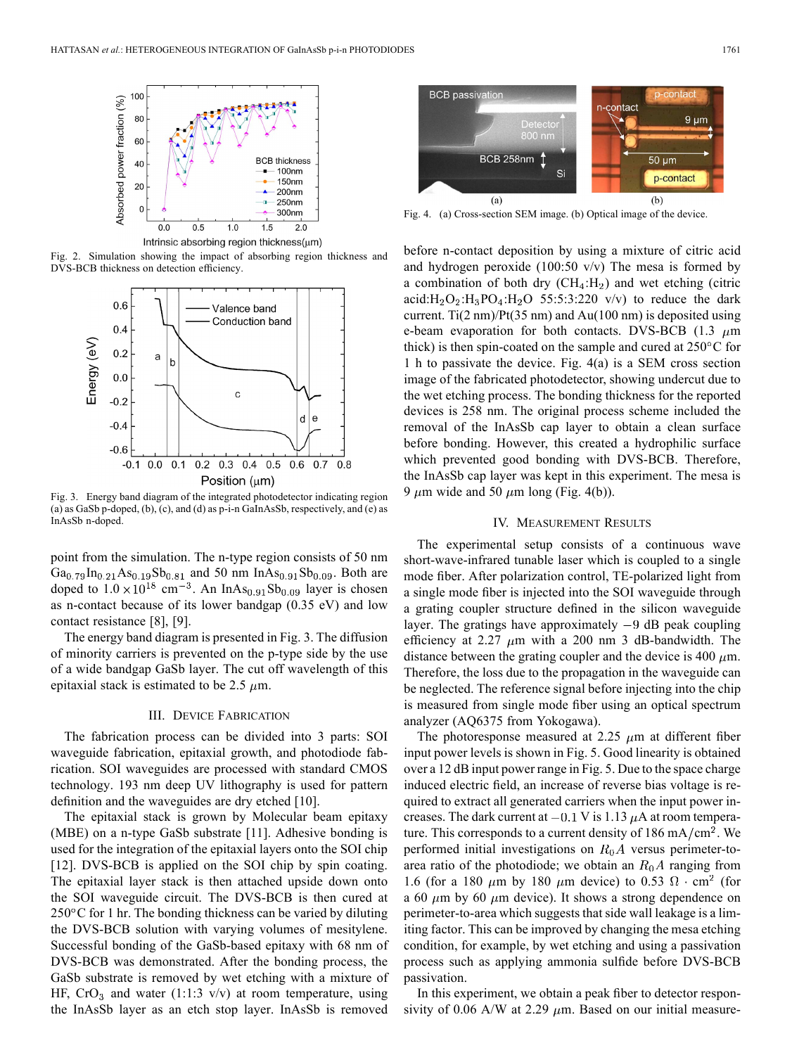

Fig. 2. Simulation showing the impact of absorbing region thickness and DVS-BCB thickness on detection efficiency.



Fig. 3. Energy band diagram of the integrated photodetector indicating region (a) as GaSb p-doped, (b), (c), and (d) as p-i-n GaInAsSb, respectively, and (e) as InAsSb n-doped.

point from the simulation. The n-type region consists of 50 nm  $Ga_{0.79}$  In<sub>0.21</sub> As<sub>0.19</sub>Sb<sub>0.81</sub> and 50 nm InAs<sub>0.91</sub>Sb<sub>0.09</sub>. Both are doped to  $1.0 \times 10^{18}$  cm<sup>-3</sup>. An InAs<sub>0.91</sub>Sb<sub>0.09</sub> layer is chosen as n-contact because of its lower bandgap (0.35 eV) and low contact resistance [8], [9].

The energy band diagram is presented in Fig. 3. The diffusion of minority carriers is prevented on the p-type side by the use of a wide bandgap GaSb layer. The cut off wavelength of this epitaxial stack is estimated to be 2.5  $\mu$ m.

### III. DEVICE FABRICATION

The fabrication process can be divided into 3 parts: SOI waveguide fabrication, epitaxial growth, and photodiode fabrication. SOI waveguides are processed with standard CMOS technology. 193 nm deep UV lithography is used for pattern definition and the waveguides are dry etched [10].

The epitaxial stack is grown by Molecular beam epitaxy (MBE) on a n-type GaSb substrate [11]. Adhesive bonding is used for the integration of the epitaxial layers onto the SOI chip [12]. DVS-BCB is applied on the SOI chip by spin coating. The epitaxial layer stack is then attached upside down onto the SOI waveguide circuit. The DVS-BCB is then cured at  $250^{\circ}$ C for 1 hr. The bonding thickness can be varied by diluting the DVS-BCB solution with varying volumes of mesitylene. Successful bonding of the GaSb-based epitaxy with 68 nm of DVS-BCB was demonstrated. After the bonding process, the GaSb substrate is removed by wet etching with a mixture of HF,  $CrO<sub>3</sub>$  and water (1:1:3 v/v) at room temperature, using the InAsSb layer as an etch stop layer. InAsSb is removed



Fig. 4. (a) Cross-section SEM image. (b) Optical image of the device.

before n-contact deposition by using a mixture of citric acid and hydrogen peroxide (100:50 v/v) The mesa is formed by a combination of both dry  $(CH_4: H_2)$  and wet etching (citric acid: $H_2O_2$ : $H_3PO_4$ : $H_2O$  55:5:3:220 v/v) to reduce the dark current. Ti(2 nm)/ $Pt(35 \text{ nm})$  and Au(100 nm) is deposited using e-beam evaporation for both contacts. DVS-BCB  $(1.3 \mu m)$ thick) is then spin-coated on the sample and cured at  $250^{\circ}$ C for 1 h to passivate the device. Fig. 4(a) is a SEM cross section image of the fabricated photodetector, showing undercut due to the wet etching process. The bonding thickness for the reported devices is 258 nm. The original process scheme included the removal of the InAsSb cap layer to obtain a clean surface before bonding. However, this created a hydrophilic surface which prevented good bonding with DVS-BCB. Therefore, the InAsSb cap layer was kept in this experiment. The mesa is 9  $\mu$ m wide and 50  $\mu$ m long (Fig. 4(b)).

#### IV. MEASUREMENT RESULTS

The experimental setup consists of a continuous wave short-wave-infrared tunable laser which is coupled to a single mode fiber. After polarization control, TE-polarized light from a single mode fiber is injected into the SOI waveguide through a grating coupler structure defined in the silicon waveguide layer. The gratings have approximately  $-9$  dB peak coupling efficiency at 2.27  $\mu$ m with a 200 nm 3 dB-bandwidth. The distance between the grating coupler and the device is 400  $\mu$ m. Therefore, the loss due to the propagation in the waveguide can be neglected. The reference signal before injecting into the chip is measured from single mode fiber using an optical spectrum analyzer (AQ6375 from Yokogawa).

The photoresponse measured at 2.25  $\mu$ m at different fiber input power levels is shown in Fig. 5. Good linearity is obtained over a 12 dB input power range in Fig. 5. Due to the space charge induced electric field, an increase of reverse bias voltage is required to extract all generated carriers when the input power increases. The dark current at  $-0.1$  V is 1.13  $\mu$ A at room temperature. This corresponds to a current density of  $186 \text{ mA/cm}^2$ . We performed initial investigations on  $R_0A$  versus perimeter-toarea ratio of the photodiode; we obtain an  $R_0A$  ranging from 1.6 (for a 180  $\mu$ m by 180  $\mu$ m device) to 0.53  $\Omega \cdot \text{cm}^2$  (for a 60  $\mu$ m by 60  $\mu$ m device). It shows a strong dependence on perimeter-to-area which suggests that side wall leakage is a limiting factor. This can be improved by changing the mesa etching condition, for example, by wet etching and using a passivation process such as applying ammonia sulfide before DVS-BCB passivation.

In this experiment, we obtain a peak fiber to detector responsivity of 0.06 A/W at 2.29  $\mu$ m. Based on our initial measure-